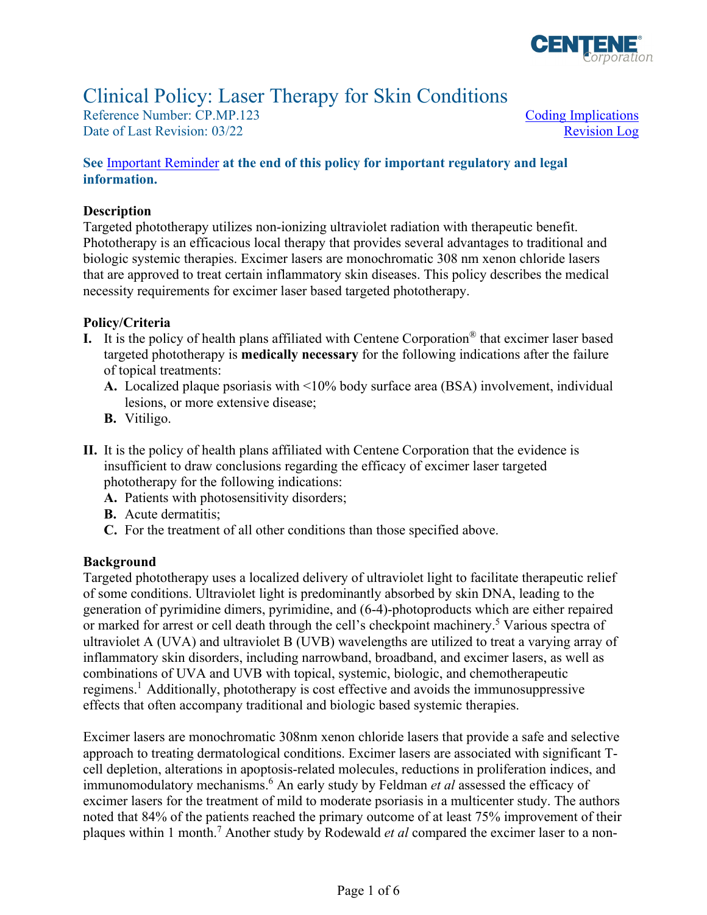

# Clinical Policy: Laser Therapy for Skin Conditions

Reference Number: CP.MP.123 Coding Implications Date of Last Revision: 03/22 Revision Log

## **See** [Important Reminder](#page-4-0) **at the end of this policy for important regulatory and legal information.**

## **Description**

 Targeted phototherapy utilizes non-ionizing ultraviolet radiation with therapeutic benefit. Phototherapy is an efficacious local therapy that provides several advantages to traditional and biologic systemic therapies. Excimer lasers are monochromatic 308 nm xenon chloride lasers that are approved to treat certain inflammatory skin diseases. This policy describes the medical necessity requirements for excimer laser based targeted phototherapy.

## **Policy/Criteria**

- **I.** It is the policy of health plans affiliated with Centene Corporation® that excimer laser based targeted phototherapy is **medically necessary** for the following indications after the failure of topical treatments:
	- **A.** Localized plaque psoriasis with <10% body surface area (BSA) involvement, individual lesions, or more extensive disease;
	- **B.** Vitiligo.
- **II.** It is the policy of health plans affiliated with Centene Corporation that the evidence is insufficient to draw conclusions regarding the efficacy of excimer laser targeted phototherapy for the following indications:
	- **A.** Patients with photosensitivity disorders;
	- **B.** Acute dermatitis;
	- **C.** For the treatment of all other conditions than those specified above.

#### **Background**

Targeted phototherapy uses a localized delivery of ultraviolet light to facilitate therapeutic relief of some conditions. Ultraviolet light is predominantly absorbed by skin DNA, leading to the generation of pyrimidine dimers, pyrimidine, and (6-4)-photoproducts which are either repaired or marked for arrest or cell death through the cell's checkpoint machinery.<sup>5</sup> Various spectra of ultraviolet A (UVA) and ultraviolet B (UVB) wavelengths are utilized to treat a varying array of inflammatory skin disorders, including narrowband, broadband, and excimer lasers, as well as combinations of UVA and UVB with topical, systemic, biologic, and chemotherapeutic regimens.<sup>1</sup> Additionally, phototherapy is cost effective and avoids the immunosuppressive effects that often accompany traditional and biologic based systemic therapies.

Excimer lasers are monochromatic 308nm xenon chloride lasers that provide a safe and selective approach to treating dermatological conditions. Excimer lasers are associated with significant Tcell depletion, alterations in apoptosis-related molecules, reductions in proliferation indices, and immunomodulatory mechanisms.6 An early study by Feldman *et al* assessed the efficacy of excimer lasers for the treatment of mild to moderate psoriasis in a multicenter study. The authors noted that 84% of the patients reached the primary outcome of at least 75% improvement of their plaques within 1 month.7 Another study by Rodewald *et al* compared the excimer laser to a non-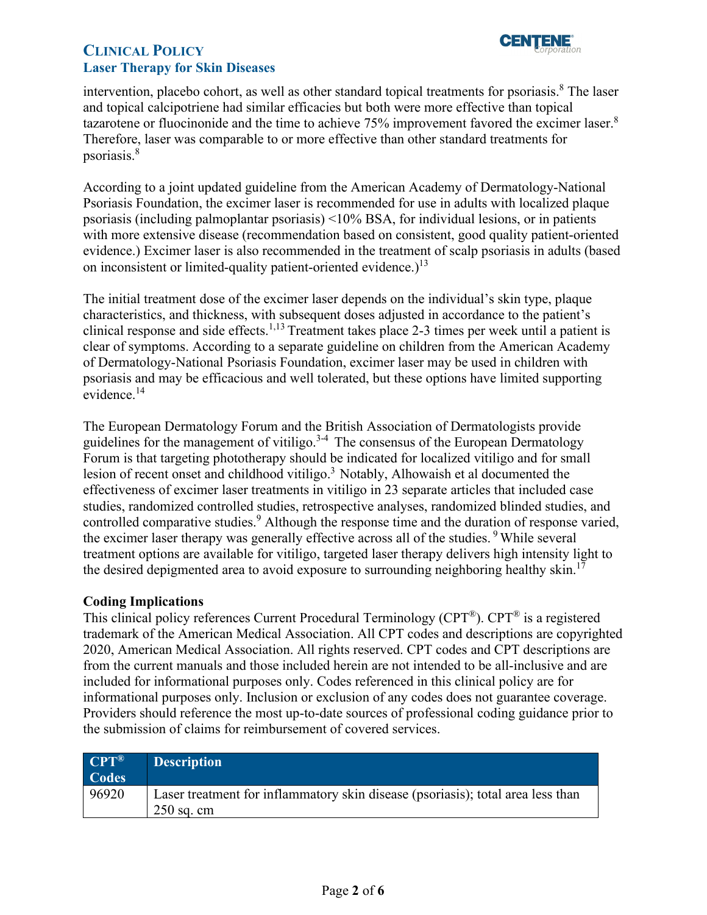

intervention, placebo cohort, as well as other standard topical treatments for psoriasis.<sup>8</sup> The laser and topical calcipotriene had similar efficacies but both were more effective than topical tazarotene or fluocinonide and the time to achieve 75% improvement favored the excimer laser.<sup>8</sup> Therefore, laser was comparable to or more effective than other standard treatments for psoriasis.<sup>8</sup>

According to a joint updated guideline from the American Academy of Dermatology-National Psoriasis Foundation, the excimer laser is recommended for use in adults with localized plaque psoriasis (including palmoplantar psoriasis) <10% BSA, for individual lesions, or in patients with more extensive disease (recommendation based on consistent, good quality patient-oriented evidence.) Excimer laser is also recommended in the treatment of scalp psoriasis in adults (based on inconsistent or limited-quality patient-oriented evidence.)<sup>13</sup>

The initial treatment dose of the excimer laser depends on the individual's skin type, plaque characteristics, and thickness, with subsequent doses adjusted in accordance to the patient's clinical response and side effects.1,13 Treatment takes place 2-3 times per week until a patient is clear of symptoms. According to a separate guideline on children from the American Academy of Dermatology-National Psoriasis Foundation, excimer laser may be used in children with psoriasis and may be efficacious and well tolerated, but these options have limited supporting evidence. 14

The European Dermatology Forum and the British Association of Dermatologists provide guidelines for the management of vitiligo.<sup>3-4</sup> The consensus of the European Dermatology Forum is that targeting phototherapy should be indicated for localized vitiligo and for small lesion of recent onset and childhood vitiligo.<sup>3</sup> Notably, Alhowaish et al documented the effectiveness of excimer laser treatments in vitiligo in 23 separate articles that included case studies, randomized controlled studies, retrospective analyses, randomized blinded studies, and controlled comparative studies.<sup>9</sup> Although the response time and the duration of response varied, the excimer laser therapy was generally effective across all of the studies.<sup>9</sup> While several treatment options are available for vitiligo, targeted laser therapy delivers high intensity light to the desired depigmented area to avoid exposure to surrounding neighboring healthy skin.<sup>17</sup>

## <span id="page-1-0"></span>**Coding Implications**

This clinical policy references Current Procedural Terminology (CPT®). CPT® is a registered trademark of the American Medical Association. All CPT codes and descriptions are copyrighted 2020, American Medical Association. All rights reserved. CPT codes and CPT descriptions are from the current manuals and those included herein are not intended to be all-inclusive and are included for informational purposes only. Codes referenced in this clinical policy are for informational purposes only. Inclusion or exclusion of any codes does not guarantee coverage. Providers should reference the most up-to-date sources of professional coding guidance prior to the submission of claims for reimbursement of covered services.

| $CPT^{\circledR}$ | <b>Description</b>                                                                              |
|-------------------|-------------------------------------------------------------------------------------------------|
| Codes             |                                                                                                 |
| 96920             | Laser treatment for inflammatory skin disease (psoriasis); total area less than<br>$250$ sq. cm |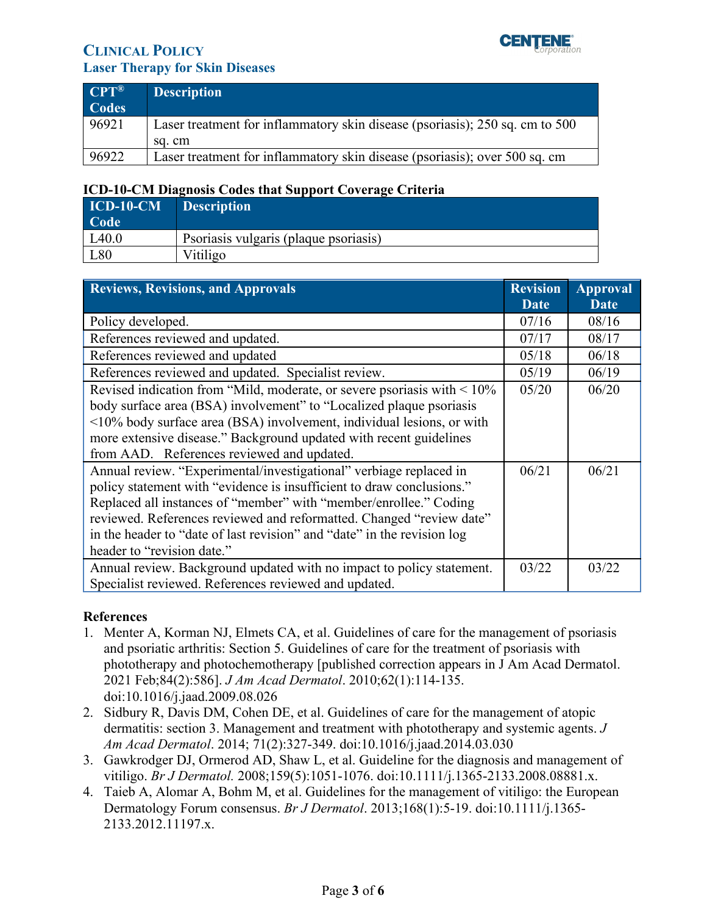

| $\overline{CPT}^{\circledR}$<br><b>Codes</b> | Description                                                                  |
|----------------------------------------------|------------------------------------------------------------------------------|
| 96921                                        | Laser treatment for inflammatory skin disease (psoriasis); 250 sq. cm to 500 |
|                                              | sa. cm                                                                       |
| 96922                                        | Laser treatment for inflammatory skin disease (psoriasis); over 500 sq. cm   |

# **ICD-10-CM Diagnosis Codes that Support Coverage Criteria**

| $\mid$ ICD-10-CM | <b>Description</b>                    |
|------------------|---------------------------------------|
| Code             |                                       |
| L40.0            | Psoriasis vulgaris (plaque psoriasis) |
| L80              | Vitiligo                              |

<span id="page-2-0"></span>

| <b>Reviews, Revisions, and Approvals</b>                                      | <b>Revision</b><br><b>Date</b> | <b>Approval</b><br>Date |
|-------------------------------------------------------------------------------|--------------------------------|-------------------------|
| Policy developed.                                                             |                                | 08/16                   |
| References reviewed and updated.                                              |                                | 08/17                   |
| References reviewed and updated                                               |                                | 06/18                   |
| References reviewed and updated. Specialist review.                           |                                | 06/19                   |
| Revised indication from "Mild, moderate, or severe psoriasis with $\leq 10\%$ |                                | 06/20                   |
| body surface area (BSA) involvement" to "Localized plaque psoriasis           |                                |                         |
| <10% body surface area (BSA) involvement, individual lesions, or with         |                                |                         |
| more extensive disease." Background updated with recent guidelines            |                                |                         |
| from AAD. References reviewed and updated.                                    |                                |                         |
| Annual review. "Experimental/investigational" verbiage replaced in            | 06/21                          | 06/21                   |
| policy statement with "evidence is insufficient to draw conclusions."         |                                |                         |
| Replaced all instances of "member" with "member/enrollee." Coding             |                                |                         |
| reviewed. References reviewed and reformatted. Changed "review date"          |                                |                         |
| in the header to "date of last revision" and "date" in the revision log       |                                |                         |
| header to "revision date."                                                    |                                |                         |
| Annual review. Background updated with no impact to policy statement.         |                                | 03/22                   |
| Specialist reviewed. References reviewed and updated.                         |                                |                         |

## **References**

- 1. Menter A, Korman NJ, Elmets CA, et al. Guidelines of care for the management of psoriasis and psoriatic arthritis: Section 5. Guidelines of care for the treatment of psoriasis with phototherapy and photochemotherapy [published correction appears in J Am Acad Dermatol. 2021 Feb;84(2):586]. *J Am Acad Dermatol*. 2010;62(1):114-135. doi:10.1016/j.jaad.2009.08.026
- 2. Sidbury R, Davis DM, Cohen DE, et al. Guidelines of care for the management of atopic dermatitis: section 3. Management and treatment with phototherapy and systemic agents. *J Am Acad Dermatol*. 2014; 71(2):327-349. doi:10.1016/j.jaad.2014.03.030
- 3. Gawkrodger DJ, Ormerod AD, Shaw L, et al. Guideline for the diagnosis and management of vitiligo. *Br J Dermatol.* 2008;159(5):1051-1076. doi:10.1111/j.1365-2133.2008.08881.x.
- 4. Taieb A, Alomar A, Bohm M, et al. Guidelines for the management of vitiligo: the European Dermatology Forum consensus. *Br J Dermatol*. 2013;168(1):5-19. doi:10.1111/j.1365- 2133.2012.11197.x.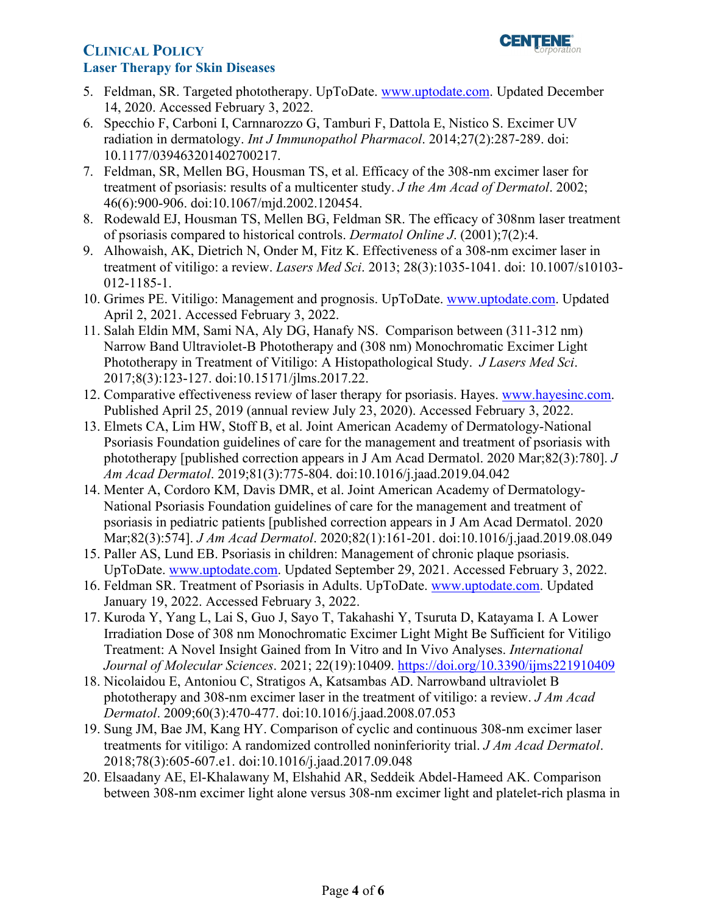

- 5. Feldman, SR. Targeted phototherapy. UpToDate. [www.uptodate.com.](http://www.uptodate.com/) Updated December 14, 2020. Accessed February 3, 2022.
- 6. Specchio F, Carboni I, Carnnarozzo G, Tamburi F, Dattola E, Nistico S. Excimer UV radiation in dermatology. *Int J Immunopathol Pharmacol*. 2014;27(2):287-289. doi: 10.1177/039463201402700217.
- 7. Feldman, SR, Mellen BG, Housman TS, et al. Efficacy of the 308-nm excimer laser for treatment of psoriasis: results of a multicenter study. *J the Am Acad of Dermatol*. 2002; 46(6):900-906. doi:10.1067/mjd.2002.120454.
- 8. Rodewald EJ, Housman TS, Mellen BG, Feldman SR. The efficacy of 308nm laser treatment of psoriasis compared to historical controls. *Dermatol Online J*. (2001);7(2):4.
- 9. Alhowaish, AK, Dietrich N, Onder M, Fitz K. Effectiveness of a 308-nm excimer laser in treatment of vitiligo: a review. *Lasers Med Sci*. 2013; 28(3):1035-1041. doi: 10.1007/s10103- 012-1185-1.
- 10. Grimes PE. Vitiligo: Management and prognosis. UpToDate. [www.uptodate.com.](http://www.uptodate.com/) Updated April 2, 2021. Accessed February 3, 2022.
- 11. Salah Eldin MM, Sami NA, Aly DG, Hanafy NS. Comparison between (311-312 nm) Narrow Band Ultraviolet-B Phototherapy and (308 nm) Monochromatic Excimer Light Phototherapy in Treatment of Vitiligo: A Histopathological Study. *J Lasers Med Sci*. 2017;8(3):123-127. doi:10.15171/jlms.2017.22.
- 12. Comparative effectiveness review of laser therapy for psoriasis. Hayes. [www.hayesinc.com.](http://www.hayesinc.com/) Published April 25, 2019 (annual review July 23, 2020). Accessed February 3, 2022.
- 13. Elmets CA, Lim HW, Stoff B, et al. Joint American Academy of Dermatology-National Psoriasis Foundation guidelines of care for the management and treatment of psoriasis with phototherapy [published correction appears in J Am Acad Dermatol. 2020 Mar;82(3):780]. *J Am Acad Dermatol*. 2019;81(3):775-804. doi:10.1016/j.jaad.2019.04.042
- 14. Menter A, Cordoro KM, Davis DMR, et al. Joint American Academy of Dermatology-National Psoriasis Foundation guidelines of care for the management and treatment of psoriasis in pediatric patients [published correction appears in J Am Acad Dermatol. 2020 Mar;82(3):574]. *J Am Acad Dermatol*. 2020;82(1):161-201. doi:10.1016/j.jaad.2019.08.049
- 15. Paller AS, Lund EB. Psoriasis in children: Management of chronic plaque psoriasis. UpToDate. [www.uptodate.com.](http://www.uptodate.com/) Updated September 29, 2021. Accessed February 3, 2022.
- 16. Feldman SR. Treatment of Psoriasis in Adults. UpToDate. [www.uptodate.com.](http://www.uptodate.com/) Updated January 19, 2022. Accessed February 3, 2022.
- 17. Kuroda Y, Yang L, Lai S, Guo J, Sayo T, Takahashi Y, Tsuruta D, Katayama I. A Lower Irradiation Dose of 308 nm Monochromatic Excimer Light Might Be Sufficient for Vitiligo Treatment: A Novel Insight Gained from In Vitro and In Vivo Analyses. *International Journal of Molecular Sciences*. 2021; 22(19):10409.<https://doi.org/10.3390/ijms221910409>
- 18. Nicolaidou E, Antoniou C, Stratigos A, Katsambas AD. Narrowband ultraviolet B phototherapy and 308-nm excimer laser in the treatment of vitiligo: a review. *J Am Acad Dermatol*. 2009;60(3):470-477. doi:10.1016/j.jaad.2008.07.053
- 19. Sung JM, Bae JM, Kang HY. Comparison of cyclic and continuous 308-nm excimer laser treatments for vitiligo: A randomized controlled noninferiority trial. *J Am Acad Dermatol*. 2018;78(3):605-607.e1. doi:10.1016/j.jaad.2017.09.048
- 20. Elsaadany AE, El-Khalawany M, Elshahid AR, Seddeik Abdel-Hameed AK. Comparison between 308-nm excimer light alone versus 308-nm excimer light and platelet-rich plasma in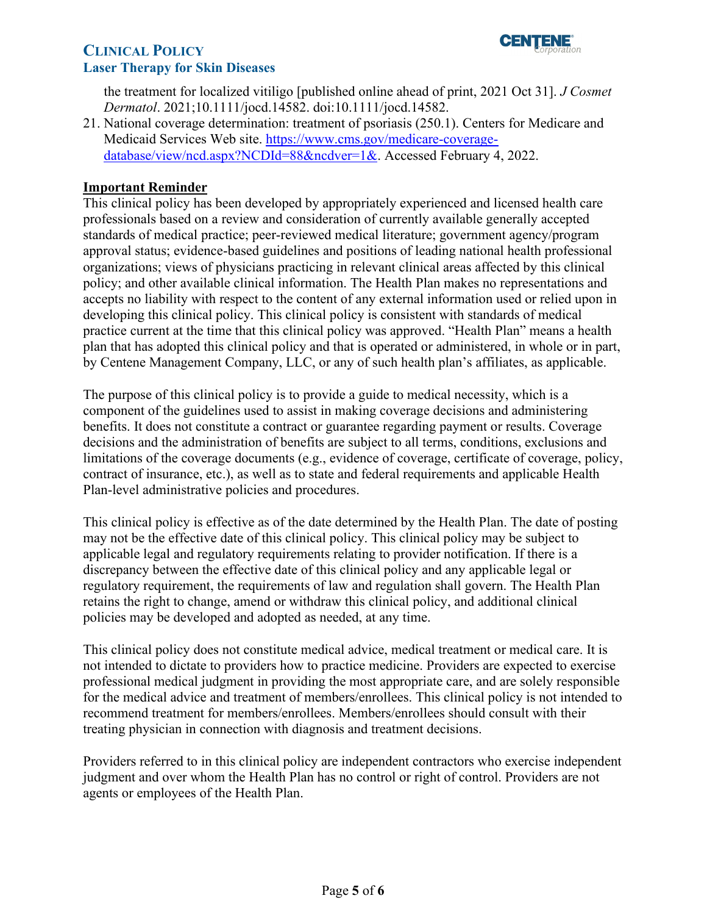

the treatment for localized vitiligo [published online ahead of print, 2021 Oct 31]. *J Cosmet Dermatol*. 2021;10.1111/jocd.14582. doi:10.1111/jocd.14582.

21. National coverage determination: treatment of psoriasis (250.1). Centers for Medicare and Medicaid Services Web site. [https://www.cms.gov/medicare-coverage](https://www.cms.gov/medicare-coverage-database/view/ncd.aspx?NCDId=88&ncdver=1&)[database/view/ncd.aspx?NCDId=88&ncdver=1&.](https://www.cms.gov/medicare-coverage-database/view/ncd.aspx?NCDId=88&ncdver=1&) Accessed February 4, 2022.

## <span id="page-4-0"></span>**Important Reminder**

This clinical policy has been developed by appropriately experienced and licensed health care professionals based on a review and consideration of currently available generally accepted standards of medical practice; peer-reviewed medical literature; government agency/program approval status; evidence-based guidelines and positions of leading national health professional organizations; views of physicians practicing in relevant clinical areas affected by this clinical policy; and other available clinical information. The Health Plan makes no representations and accepts no liability with respect to the content of any external information used or relied upon in developing this clinical policy. This clinical policy is consistent with standards of medical practice current at the time that this clinical policy was approved. "Health Plan" means a health plan that has adopted this clinical policy and that is operated or administered, in whole or in part, by Centene Management Company, LLC, or any of such health plan's affiliates, as applicable.

The purpose of this clinical policy is to provide a guide to medical necessity, which is a component of the guidelines used to assist in making coverage decisions and administering benefits. It does not constitute a contract or guarantee regarding payment or results. Coverage decisions and the administration of benefits are subject to all terms, conditions, exclusions and limitations of the coverage documents (e.g., evidence of coverage, certificate of coverage, policy, contract of insurance, etc.), as well as to state and federal requirements and applicable Health Plan-level administrative policies and procedures.

 applicable legal and regulatory requirements relating to provider notification. If there is a This clinical policy is effective as of the date determined by the Health Plan. The date of posting may not be the effective date of this clinical policy. This clinical policy may be subject to discrepancy between the effective date of this clinical policy and any applicable legal or regulatory requirement, the requirements of law and regulation shall govern. The Health Plan retains the right to change, amend or withdraw this clinical policy, and additional clinical policies may be developed and adopted as needed, at any time.

 This clinical policy does not constitute medical advice, medical treatment or medical care. It is not intended to dictate to providers how to practice medicine. Providers are expected to exercise professional medical judgment in providing the most appropriate care, and are solely responsible for the medical advice and treatment of members/enrollees. This clinical policy is not intended to recommend treatment for members/enrollees. Members/enrollees should consult with their treating physician in connection with diagnosis and treatment decisions.

Providers referred to in this clinical policy are independent contractors who exercise independent judgment and over whom the Health Plan has no control or right of control. Providers are not agents or employees of the Health Plan.